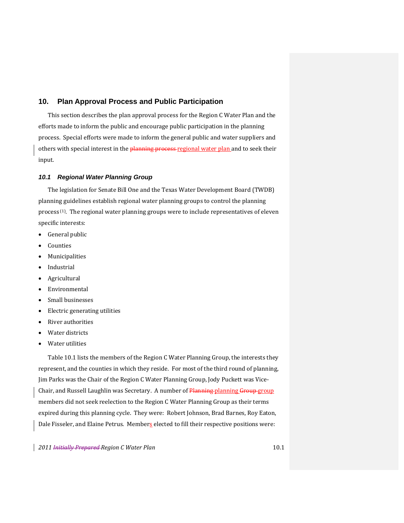# **10. Plan Approval Process and Public Participation**

This section describes the plan approval process for the Region C Water Plan and the efforts made to inform the public and encourage public participation in the planning process. Special efforts were made to inform the general public and water suppliers and others with special interest in the planning process-regional water plan and to seek their input.

#### *10.1 Regional Water Planning Group*

The legislation for Senate Bill One and the Texas Water Development Board (TWDB) planning guidelines establish regional water planning groups to control the planning process (1). The regional water planning groups were to include representatives of eleven specific interests:

- General public
- Counties
- Municipalities
- Industrial
- Agricultural
- Environmental
- Small businesses
- Electric generating utilities
- River authorities
- Water districts
- Water utilities

Table 10.1 lists the members of the Region C Water Planning Group, the interests they represent, and the counties in which they reside. For most of the third round of planning, Jim Parks was the Chair of the Region C Water Planning Group, Jody Puckett was Vice‐ Chair, and Russell Laughlin was Secretary. A number of Planning planning Group group members did not seek reelection to the Region C Water Planning Group as their terms expired during this planning cycle. They were: Robert Johnson, Brad Barnes, Roy Eaton, Dale Fisseler, and Elaine Petrus. Members elected to fill their respective positions were: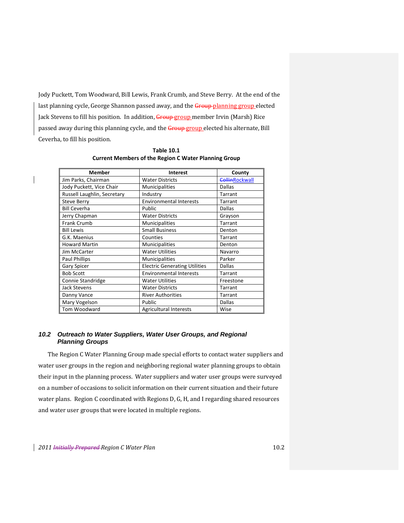Jody Puckett, Tom Woodward, Bill Lewis, Frank Crumb, and Steve Berry. At the end of the last planning cycle, George Shannon passed away, and the Group-planning group elected Jack Stevens to fill his position. In addition, Group group member Irvin (Marsh) Rice passed away during this planning cycle, and the Group group elected his alternate, Bill Ceverha, to fill his position.

| <b>Member</b>               | Interest                             | County                |
|-----------------------------|--------------------------------------|-----------------------|
| Jim Parks, Chairman         | <b>Water Districts</b>               | <b>CollinRockwall</b> |
| Jody Puckett, Vice Chair    | Municipalities                       | <b>Dallas</b>         |
| Russell Laughlin, Secretary | Industry                             | Tarrant               |
| <b>Steve Berry</b>          | <b>Environmental Interests</b>       | Tarrant               |
| <b>Bill Ceverha</b>         | Public                               | Dallas                |
| Jerry Chapman               | <b>Water Districts</b>               | Grayson               |
| <b>Frank Crumb</b>          | Municipalities                       | Tarrant               |
| <b>Bill Lewis</b>           | <b>Small Business</b>                | Denton                |
| G.K. Maenius                | Counties                             | Tarrant               |
| <b>Howard Martin</b>        | Municipalities                       | Denton                |
| Jim McCarter                | <b>Water Utilities</b>               | Navarro               |
| <b>Paul Phillips</b>        | <b>Municipalities</b>                | Parker                |
| <b>Gary Spicer</b>          | <b>Electric Generating Utilities</b> | <b>Dallas</b>         |
| <b>Bob Scott</b>            | <b>Environmental Interests</b>       | Tarrant               |
| Connie Standridge           | <b>Water Utilities</b>               | Freestone             |
| <b>Jack Stevens</b>         | <b>Water Districts</b>               | Tarrant               |
| Danny Vance                 | <b>River Authorities</b>             | Tarrant               |
| Mary Vogelson               | Public                               | Dallas                |
| Tom Woodward                | <b>Agricultural Interests</b>        | Wise                  |

**Table 10.1 Current Members of the Region C Water Planning Group**

# *10.2 Outreach to Water Suppliers, Water User Groups, and Regional Planning Groups*

The Region C Water Planning Group made special efforts to contact water suppliers and water user groups in the region and neighboring regional water planning groups to obtain their input in the planning process. Water suppliers and water user groups were surveyed on a number of occasions to solicit information on their current situation and their future water plans. Region C coordinated with Regions D, G, H, and I regarding shared resources and water user groups that were located in multiple regions.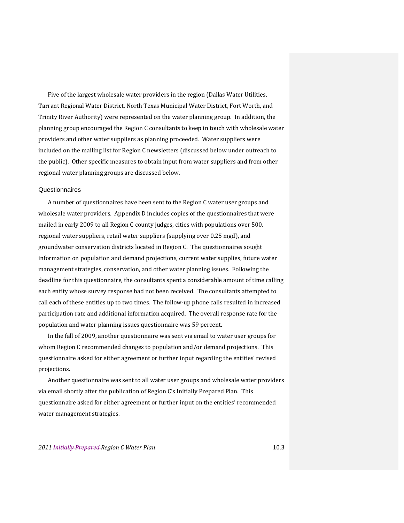Five of the largest wholesale water providers in the region (Dallas Water Utilities, Tarrant Regional Water District, North Texas Municipal Water District, Fort Worth, and Trinity River Authority) were represented on the water planning group. In addition, the planning group encouraged the Region C consultants to keep in touch with wholesale water providers and other water suppliers as planning proceeded. Water suppliers were included on the mailing list for Region C newsletters (discussed below under outreach to the public). Other specific measures to obtain input from water suppliers and from other regional water planning groups are discussed below.

#### **Questionnaires**

A number of questionnaires have been sent to the Region C water user groups and wholesale water providers. Appendix D includes copies of the questionnaires that were mailed in early 2009 to all Region C county judges, cities with populations over 500, regional water suppliers, retail water suppliers (supplying over 0.25 mgd), and groundwater conservation districts located in Region C. The questionnaires sought information on population and demand projections, current water supplies, future water management strategies, conservation, and other water planning issues. Following the deadline for this questionnaire, the consultants spent a considerable amount of time calling each entity whose survey response had not been received. The consultants attempted to call each of these entities up to two times. The follow‐up phone calls resulted in increased participation rate and additional information acquired. The overall response rate for the population and water planning issues questionnaire was 59 percent.

In the fall of 2009, another questionnaire was sent via email to water user groups for whom Region C recommended changes to population and/or demand projections. This questionnaire asked for either agreement or further input regarding the entities' revised projections.

Another questionnaire was sent to all water user groups and wholesale water providers via email shortly after the publication of Region C's Initially Prepared Plan. This questionnaire asked for either agreement or further input on the entities' recommended water management strategies.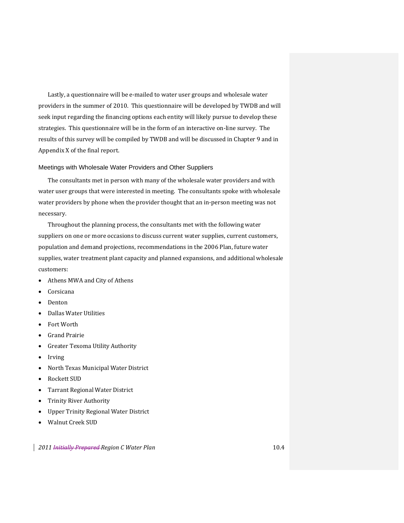Lastly, a questionnaire will be e-mailed to water user groups and wholesale water providers in the summer of 2010. This questionnaire will be developed by TWDB and will seek input regarding the financing options each entity will likely pursue to develop these strategies. This questionnaire will be in the form of an interactive on‐line survey. The results of this survey will be compiled by TWDB and will be discussed in Chapter 9 and in Appendix X of the final report.

## Meetings with Wholesale Water Providers and Other Suppliers

The consultants met in person with many of the wholesale water providers and with water user groups that were interested in meeting. The consultants spoke with wholesale water providers by phone when the provider thought that an in-person meeting was not necessary.

Throughout the planning process, the consultants met with the following water suppliers on one or more occasions to discuss current water supplies, current customers, population and demand projections, recommendations in the 2006 Plan, future water supplies, water treatment plant capacity and planned expansions, and additional wholesale customers:

- Athens MWA and City of Athens
- Corsicana
- Denton
- Dallas Water Utilities
- Fort Worth
- Grand Prairie
- Greater Texoma Utility Authority
- Irving
- North Texas Municipal Water District
- Rockett SUD
- Tarrant Regional Water District
- Trinity River Authority
- Upper Trinity Regional Water District
- Walnut Creek SUD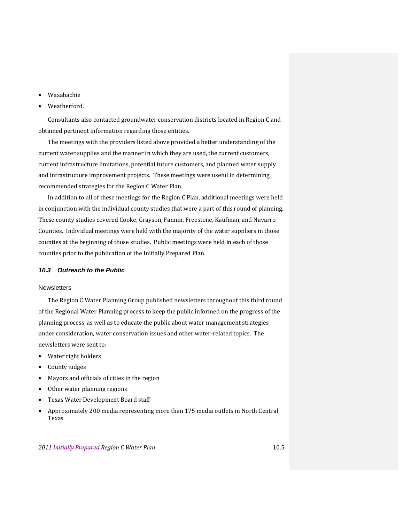- Waxahachie
- Weatherford.

Consultants also contacted groundwater conservation districts located in Region C and obtained pertinent information regarding those entities.

The meetings with the providers listed above provided a better understanding of the current water supplies and the manner in which they are used, the current customers, current infrastructure limitations, potential future customers, and planned water supply and infrastructure improvement projects. These meetings were useful in determining recommended strategies for the Region C Water Plan.

In addition to all of these meetings for the Region C Plan, additional meetings were held in conjunction with the individual county studies that were a part of this round of planning. These county studies covered Cooke, Grayson, Fannin, Freestone, Kaufman, and Navarro Counties. Individual meetings were held with the majority of the water suppliers in those counties at the beginning of those studies. Public meetings were held in each of those counties prior to the publication of the Initially Prepared Plan.

### *10.3 Outreach to the Public*

#### **Newsletters**

The Region C Water Planning Group published newsletters throughout this third round of the Regional Water Planning process to keep the public informed on the progress of the planning process, as well as to educate the public about water management strategies under consideration, water conservation issues and other water‐related topics. The newsletters were sent to:

- Water right holders
- County judges
- Mayors and officials of cities in the region
- Other water planning regions
- Texas Water Development Board staff
- Approximately 200 media representing more than 175 media outlets in North Central Texas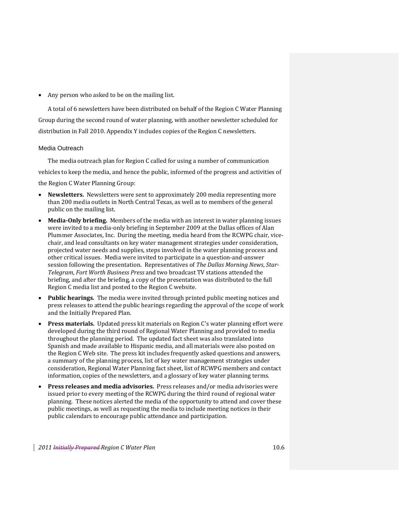• Any person who asked to be on the mailing list.

A total of 6 newsletters have been distributed on behalf of the Region C Water Planning Group during the second round of water planning, with another newsletter scheduled for distribution in Fall 2010. Appendix Y includes copies of the Region C newsletters.

# Media Outreach

The media outreach plan for Region C called for using a number of communication vehicles to keep the media, and hence the public, informed of the progress and activities of the Region C Water Planning Group:

- **Newsletters.** Newsletters were sent to approximately 200 media representing more than 200 media outlets in North Central Texas, as well as to members of the general public on the mailing list.
- **MediaOnly briefing.** Members of the media with an interest in water planning issues were invited to a media-only briefing in September 2009 at the Dallas offices of Alan Plummer Associates, Inc. During the meeting, media heard from the RCWPG chair, vice‐ chair, and lead consultants on key water management strategies under consideration, projected water needs and supplies, steps involved in the water planning process and other critical issues. Media were invited to participate in a question‐and‐answer session following the presentation. Representatives of *The Dallas Morning News*, *Star-Telegram*, *Fort Worth Business Press* and two broadcast TV stations attended the briefing, and after the briefing, a copy of the presentation was distributed to the full Region C media list and posted to the Region C website.
- **Public hearings.** The media were invited through printed public meeting notices and press releases to attend the public hearings regarding the approval of the scope of work and the Initially Prepared Plan.
- **Press materials.** Updated press kit materials on Region C's water planning effort were developed during the third round of Regional Water Planning and provided to media throughout the planning period. The updated fact sheet was also translated into Spanish and made available to Hispanic media, and all materials were also posted on the Region C Web site. The press kit includes frequently asked questions and answers, a summary of the planning process, list of key water management strategies under consideration, Regional Water Planning fact sheet, list of RCWPG members and contact information, copies of the newsletters, and a glossary of key water planning terms.
- **Press releases and media advisories.** Press releases and/or media advisories were issued prior to every meeting of the RCWPG during the third round of regional water planning. These notices alerted the media of the opportunity to attend and cover these public meetings, as well as requesting the media to include meeting notices in their public calendars to encourage public attendance and participation.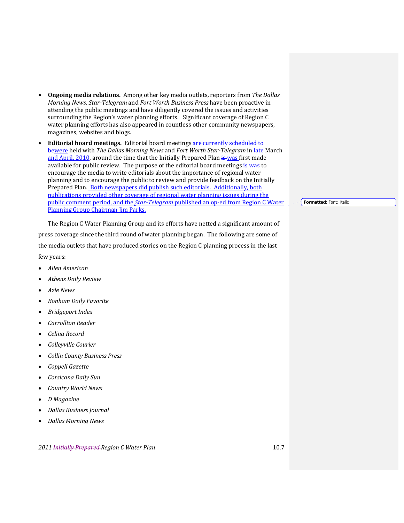- **Ongoing media relations.** Among other key media outlets, reporters from *The Dallas Morning News*, *StarTelegram* and *Fort Worth Business Press* have been proactive in attending the public meetings and have diligently covered the issues and activities surrounding the Region's water planning efforts. Significant coverage of Region C water planning efforts has also appeared in countless other community newspapers, magazines, websites and blogs.
- **Editorial board meetings.** Editorial board meetings are currently scheduled to bewere held with *The Dallas Morning News* and *Fort Worth StarTelegram* in late March and April, 2010, around the time that the Initially Prepared Plan is was first made available for public review. The purpose of the editorial board meetings is was to encourage the media to write editorials about the importance of regional water planning and to encourage the public to review and provide feedback on the Initially Prepared Plan. Both newspapers did publish such editorials. Additionally, both publications provided other coverage of regional water planning issues during the public comment period, and the *StarTelegram* published an op‐ed from Region C Water Planning Group Chairman Jim Parks.

The Region C Water Planning Group and its efforts have netted a significant amount of press coverage since the third round of water planning began. The following are some of the media outlets that have produced stories on the Region C planning process in the last few years:

- *Allen American*
- *Athens Daily Review*
- *Azle News*
- *Bonham Daily Favorite*
- *Bridgeport Index*
- *Carrollton Reader*
- *Celina Record*
- *Colleyville Courier*
- *Collin County Business Press*
- *Coppell Gazette*
- *Corsicana Daily Sun*
- *Country World News*
- *D Magazine*
- *Dallas Business Journal*
- *Dallas Morning News*

*2011 Initially Prepared Region C Water Plan* 10.7

**Formatted:** Font: Italic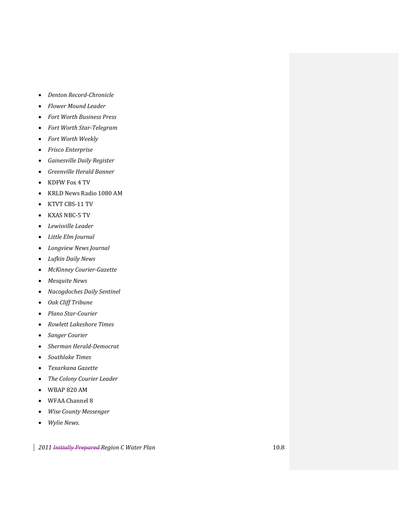- *Denton RecordChronicle*
- *Flower Mound Leader*
- *Fort Worth Business Press*
- *Fort Worth StarTelegram*
- *Fort Worth Weekly*
- *Frisco Enterprise*
- *Gainesville Daily Register*
- *Greenville Herald Banner*
- KDFW Fox 4 TV
- KRLD News Radio 1080 AM
- KTVT CBS‐11 TV
- KXAS NBC‐5 TV
- *Lewisville Leader*
- *Little Elm Journal*
- *Longview News Journal*
- *Lufkin Daily News*
- *McKinney CourierGazette*
- *Mesquite News*
- *Nacogdoches Daily Sentinel*
- *Oak Cliff Tribune*
- *Plano StarCourier*
- *Rowlett Lakeshore Times*
- *Sanger Courier*
- *Sherman HeraldDemocrat*
- *Southlake Times*
- *Texarkana Gazette*
- *The Colony Courier Leader*
- WBAP 820 AM
- WFAA Channel 8
- *Wise County Messenger*
- *Wylie News.*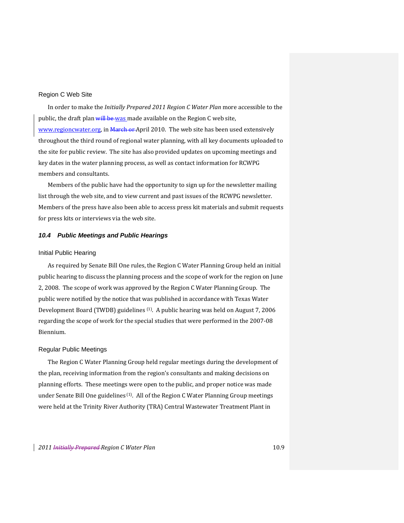# Region C Web Site

In order to make the *Initially Prepared 2011 Region C Water Plan* more accessible to the public, the draft plan will be was made available on the Region C web site, www.regioncwater.org, in March or April 2010. The web site has been used extensively throughout the third round of regional water planning, with all key documents uploaded to the site for public review. The site has also provided updates on upcoming meetings and key dates in the water planning process, as well as contact information for RCWPG members and consultants.

Members of the public have had the opportunity to sign up for the newsletter mailing list through the web site, and to view current and past issues of the RCWPG newsletter. Members of the press have also been able to access press kit materials and submit requests for press kits or interviews via the web site.

## *10.4 Public Meetings and Public Hearings*

### Initial Public Hearing

As required by Senate Bill One rules, the Region C Water Planning Group held an initial public hearing to discuss the planning process and the scope of work for the region on June 2, 2008. The scope of work was approved by the Region C Water Planning Group. The public were notified by the notice that was published in accordance with Texas Water Development Board (TWDB) guidelines (1). A public hearing was held on August 7, 2006 regarding the scope of work for the special studies that were performed in the 2007‐08 Biennium.

#### Regular Public Meetings

The Region C Water Planning Group held regular meetings during the development of the plan, receiving information from the region's consultants and making decisions on planning efforts. These meetings were open to the public, and proper notice was made under Senate Bill One guidelines <sup>(1)</sup>. All of the Region C Water Planning Group meetings were held at the Trinity River Authority (TRA) Central Wastewater Treatment Plant in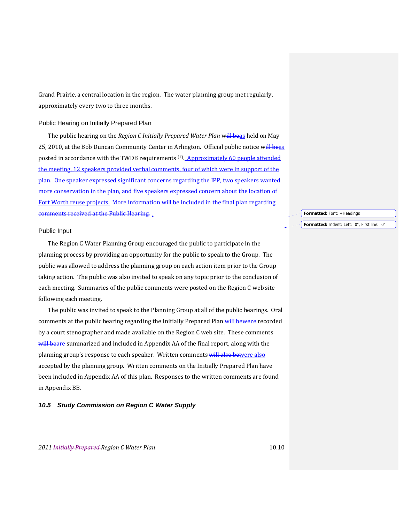Grand Prairie, a central location in the region. The water planning group met regularly, approximately every two to three months.

## Public Hearing on Initially Prepared Plan

The public hearing on the *Region C Initially Prepared Water Plan* will beas held on May 25, 2010, at the Bob Duncan Community Center in Arlington. Official public notice will beas posted in accordance with the TWDB requirements (1). Approximately 60 people attended the meeting, 12 speakers provided verbal comments, four of which were in support of the plan. One speaker expressed significant concerns regarding the IPP, two speakers wanted more conservation in the plan, and five speakers expressed concern about the location of Fort Worth reuse projects. More information will be included in the final plan regarding comments received at the Public Hearing*.*

#### Public Input

The Region C Water Planning Group encouraged the public to participate in the planning process by providing an opportunity for the public to speak to the Group. The public was allowed to address the planning group on each action item prior to the Group taking action. The public was also invited to speak on any topic prior to the conclusion of each meeting. Summaries of the public comments were posted on the Region C web site following each meeting.

The public was invited to speak to the Planning Group at all of the public hearings. Oral comments at the public hearing regarding the Initially Prepared Plan will bewere recorded by a court stenographer and made available on the Region C web site. These comments will beare summarized and included in Appendix AA of the final report, along with the planning group's response to each speaker. Written comments will also bewere also accepted by the planning group. Written comments on the Initially Prepared Plan have been included in Appendix AA of this plan. Responses to the written comments are found in Appendix BB.

## *10.5 Study Commission on Region C Water Supply*

### **Formatted:** Font: +Headings

## **Formatted:** Indent: Left: 0", First line: 0"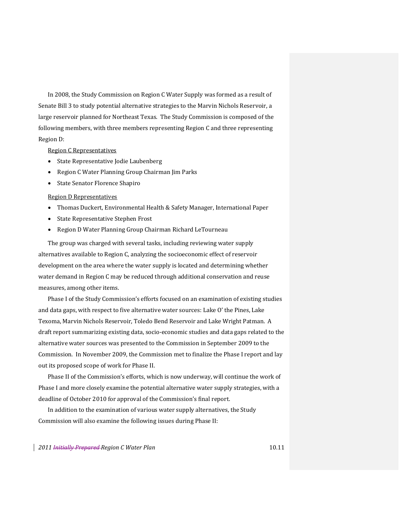In 2008, the Study Commission on Region C Water Supply was formed as a result of Senate Bill 3 to study potential alternative strategies to the Marvin Nichols Reservoir, a large reservoir planned for Northeast Texas. The Study Commission is composed of the following members, with three members representing Region C and three representing Region D:

## Region C Representatives

- State Representative Jodie Laubenberg
- Region C Water Planning Group Chairman Jim Parks
- State Senator Florence Shapiro

#### Region D Representatives

- Thomas Duckert, Environmental Health & Safety Manager, International Paper
- State Representative Stephen Frost
- Region D Water Planning Group Chairman Richard LeTourneau

The group was charged with several tasks, including reviewing water supply alternatives available to Region C, analyzing the socioeconomic effect of reservoir development on the area where the water supply is located and determining whether water demand in Region C may be reduced through additional conservation and reuse measures, among other items.

Phase I of the Study Commission's efforts focused on an examination of existing studies and data gaps, with respect to five alternative water sources: Lake O' the Pines, Lake Texoma, Marvin Nichols Reservoir, Toledo Bend Reservoir and Lake Wright Patman. A draft report summarizing existing data, socio‐economic studies and data gaps related to the alternative water sources was presented to the Commission in September 2009 to the Commission. In November 2009, the Commission met to finalize the Phase I report and lay out its proposed scope of work for Phase II.

Phase II of the Commission's efforts, which is now underway, will continue the work of Phase I and more closely examine the potential alternative water supply strategies, with a deadline of October 2010 for approval of the Commission's final report.

In addition to the examination of various water supply alternatives, the Study Commission will also examine the following issues during Phase II: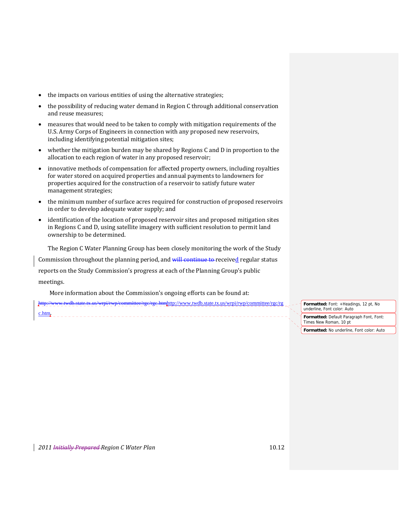- the impacts on various entities of using the alternative strategies;
- the possibility of reducing water demand in Region C through additional conservation and reuse measures;
- measures that would need to be taken to comply with mitigation requirements of the U.S. Army Corps of Engineers in connection with any proposed new reservoirs, including identifying potential mitigation sites;
- whether the mitigation burden may be shared by Regions C and D in proportion to the allocation to each region of water in any proposed reservoir;
- innovative methods of compensation for affected property owners, including royalties for water stored on acquired properties and annual payments to landowners for properties acquired for the construction of a reservoir to satisfy future water management strategies;
- the minimum number of surface acres required for construction of proposed reservoirs in order to develop adequate water supply; and
- identification of the location of proposed reservoir sites and proposed mitigation sites in Regions C and D, using satellite imagery with sufficient resolution to permit land ownership to be determined.

The Region C Water Planning Group has been closely monitoring the work of the Study

Commission throughout the planning period, and will continue to received regular status

reports on the Study Commission's progress at each of the Planning Group's public meetings.

More information about the Commission's ongoing efforts can be found at:

http://www.twdb.state.tx.us/wrpi/rwp/committee/rgc/rgc.htmhttp://www.twdb.state.tx.us/wrpi/rwp/committee/rgc/rg

c.htm.

**Formatted:** Font: +Headings, 12 pt, No underline, Font color: Auto **Formatted:** Default Paragraph Font, Font: Times New Roman, 10 pt **Formatted:** No underline, Font color: Auto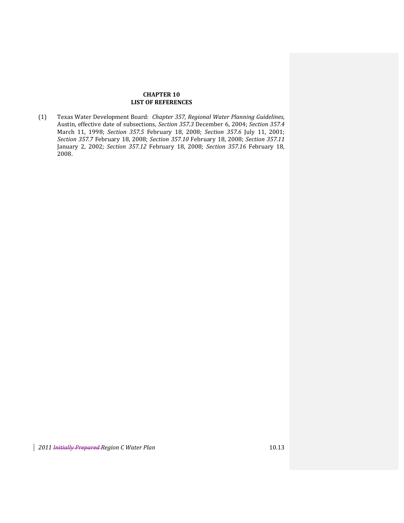# **CHAPTER 10 LIST OF REFERENCES**

(1) Texas Water Development Board: *Chapter 357, Regional Water Planning Guidelines*, Austin, effective date of subsections, *Section 357.3* December 6, 2004; *Section 357.4* March 11, 1998; *Section 357.5* February 18, 2008; *Section 357.6* July 11, 2001; *Section 357.7* February 18, 2008; *Section 357.10* February 18, 2008; *Section 357.11* January 2, 2002; *Section 357.12* February 18, 2008; *Section 357.16* February 18, 2008.